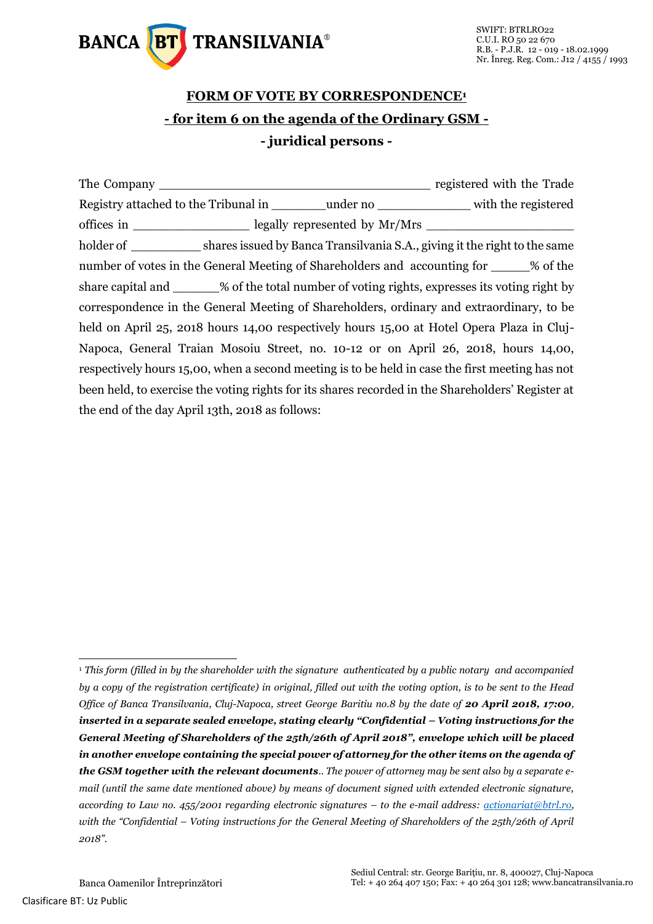

## **FORM OF VOTE BY CORRESPONDENCE<sup>1</sup> - for item 6 on the agenda of the Ordinary GSM - - juridical persons -**

The Company The Company  $\frac{1}{2}$  registered with the Trade Registry attached to the Tribunal in  $\qquad \qquad$  under no  $\qquad \qquad$  with the registered offices in equally represented by Mr/Mrs  $\sim$ holder of shares issued by Banca Transilvania S.A., giving it the right to the same number of votes in the General Meeting of Shareholders and accounting for  $\%$  of the share capital and  $\%$  of the total number of voting rights, expresses its voting right by correspondence in the General Meeting of Shareholders, ordinary and extraordinary, to be held on April 25, 2018 hours 14,00 respectively hours 15,00 at Hotel Opera Plaza in Cluj-Napoca, General Traian Mosoiu Street, no. 10-12 or on April 26, 2018, hours 14,00, respectively hours 15,00, when a second meeting is to be held in case the first meeting has not been held, to exercise the voting rights for its shares recorded in the Shareholders' Register at the end of the day April 13th, 2018 as follows:

-

<sup>1</sup> *This form (filled in by the shareholder with the signature authenticated by a public notary and accompanied by a copy of the registration certificate) in original, filled out with the voting option, is to be sent to the Head Office of Banca Transilvania, Cluj-Napoca, street George Baritiu no.8 by the date of 20 April 2018, 17:00<i>, inserted in a separate sealed envelope, stating clearly "Confidential – Voting instructions for the General Meeting of Shareholders of the 25th/26th of April 2018", envelope which will be placed in another envelope containing the special power of attorney for the other items on the agenda of the GSM together with the relevant documents.. The power of attorney may be sent also by a separate email (until the same date mentioned above) by means of document signed with extended electronic signature, according to Law no. 455/2001 regarding electronic signatures – to the e-mail address: [actionariat@btrl.ro,](mailto:actionariat@btrl.ro) with the "Confidential – Voting instructions for the General Meeting of Shareholders of the 25th/26th of April 2018".*